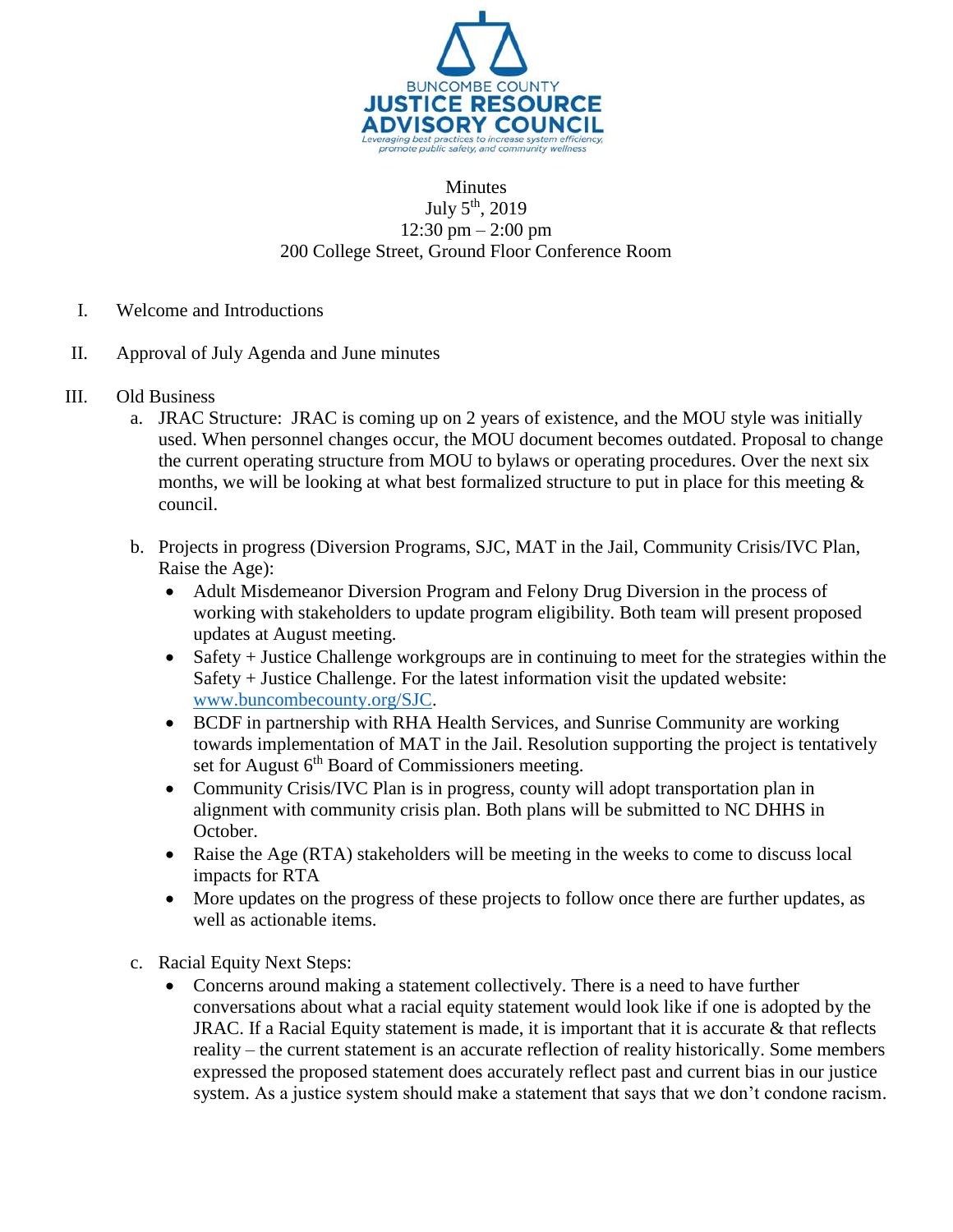

## Minutes July  $5<sup>th</sup>$ , 2019 12:30 pm – 2:00 pm 200 College Street, Ground Floor Conference Room

- I. Welcome and Introductions
- II. Approval of July Agenda and June minutes
- III. Old Business
	- a. JRAC Structure: JRAC is coming up on 2 years of existence, and the MOU style was initially used. When personnel changes occur, the MOU document becomes outdated. Proposal to change the current operating structure from MOU to bylaws or operating procedures. Over the next six months, we will be looking at what best formalized structure to put in place for this meeting  $\&$ council.
	- b. Projects in progress (Diversion Programs, SJC, MAT in the Jail, Community Crisis/IVC Plan, Raise the Age):
		- Adult Misdemeanor Diversion Program and Felony Drug Diversion in the process of working with stakeholders to update program eligibility. Both team will present proposed updates at August meeting.
		- Safety + Justice Challenge workgroups are in continuing to meet for the strategies within the Safety + Justice Challenge. For the latest information visit the updated website: [www.buncombecounty.org/SJC.](http://www.buncombecounty.org/SJC)
		- BCDF in partnership with RHA Health Services, and Sunrise Community are working towards implementation of MAT in the Jail. Resolution supporting the project is tentatively set for August  $6<sup>th</sup>$  Board of Commissioners meeting.
		- Community Crisis/IVC Plan is in progress, county will adopt transportation plan in alignment with community crisis plan. Both plans will be submitted to NC DHHS in October.
		- Raise the Age (RTA) stakeholders will be meeting in the weeks to come to discuss local impacts for RTA
		- More updates on the progress of these projects to follow once there are further updates, as well as actionable items.
	- c. Racial Equity Next Steps:
		- Concerns around making a statement collectively. There is a need to have further conversations about what a racial equity statement would look like if one is adopted by the JRAC. If a Racial Equity statement is made, it is important that it is accurate & that reflects reality – the current statement is an accurate reflection of reality historically. Some members expressed the proposed statement does accurately reflect past and current bias in our justice system. As a justice system should make a statement that says that we don't condone racism.